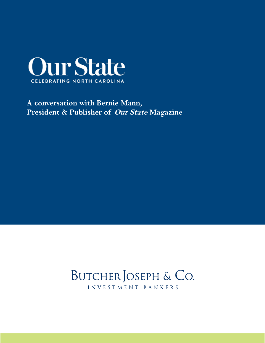

### **A conversation with Bernie Mann, President & Publisher of [Our State](https://www.ourstate.com) Magazine**

## BUTCHER JOSEPH & CO. INVESTMENT BANKERS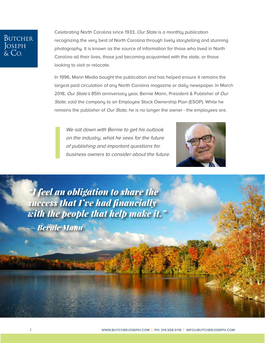#### **BUTCHER** Joseph  $Co$

Celebrating North Carolina since 1933, [Our State](https://www.ourstate.com) is a monthly publication recognizing the very best of North Carolina through lively storytelling and stunning photography. It is known as the source of information for those who lived in North Carolina all their lives, those just becoming acquainted with the state, or those looking to visit or relocate.

In 1996, Mann Media bought the publication and has helped ensure it remains the largest paid circulation of any North Carolina magazine or daily newspaper. In March 2018, Our State's 85th anniversary year, Bernie Mann, President & Publisher of Our State, sold the company to an [Employee Stock Ownership Plan \(ESOP\).](https://www.butcherjoseph.com/employee-buyouts-using-an-esop) While he remains the publisher of *[Our State](https://www.ourstate.com)*, he is no longer the owner - the employees are.

We sat down with Bernie to get his outlook on the industry, what he sees for the future of publishing and important questions for business owners to consider about the future.



*"I feel an obligation to share the success that I've had financially with the people that help make it."* — *Bernie Mann*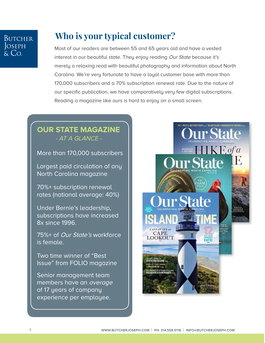#### **BUTCHER S**SEPH  $\cap$

## **Who is your typical customer?**

Most of our readers are between 55 and 65 years old and have a vested interest in our beautiful state. They enjoy reading [Our State](https://www.ourstate.com) because it's merely a relaxing read with beautiful photography and information about North Carolina. We're very fortunate to have a loyal customer base with more than 170,000 subscribers and a 70% subscription renewal rate. Due to the nature of our specific publication, we have comparatively very few digital subscriptions. Reading a magazine like ours is hard to enjoy on a small screen.

#### **OUR STATE MAGAZINE** - AT A GLANCE -

More than 170,000 subscribers

Largest paid circulation of any North Carolina magazine

70%+ subscription renewal rates (national average: 40%)

Under Bernie's leadership, subscriptions have increased 8x since 1996.

75%+ of Our State's workforce is female.

Two time winner of "Best Issue" from FOLIO magazine

Senior management team members have an average of 17 years of company experience per employee.

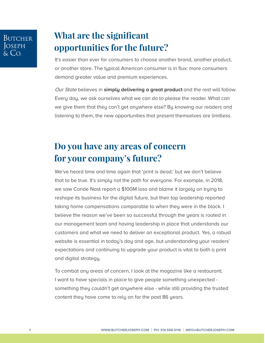### **What are the significant opportunities for the future?**

It's easier than ever for consumers to choose another brand, another product, or another store. The typical American consumer is in flux: more consumers demand greater value and premium experiences.

[Our State](https://www.ourstate.com) believes in **simply delivering a great product** and the rest will follow. Every day, we ask ourselves what we can do to please the reader. What can we give them that they can't get anywhere else? By knowing our readers and listening to them, the new opportunities that present themselves are limitless.

# **Do you have any areas of concern for your company's future?**

We've heard time and time again that 'print is dead,' but we don't believe that to be true. It's simply not the path for everyone. For example, in 2018, we saw Conde Nast report a \$100M loss and blame it largely on trying to reshape its business for the digital future, but their top leadership reported taking home compensations comparable to when they were in the black. I believe the reason we've been so successful through the years is rooted in our management team and having leadership in place that understands our customers and what we need to deliver an exceptional product. Yes, a robust website is essential in today's day and age, but understanding your readers' expectations and continuing to upgrade your product is vital to both a print and digital strategy.

To combat any areas of concern, I look at the magazine like a restaurant; I want to have specials in place to give people something unexpected something they couldn't get anywhere else - while still providing the trusted content they have come to rely on for the past 86 years.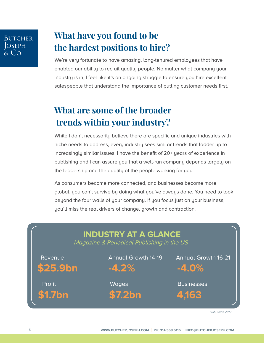# **BUTCHER** OSEPH

### **What have you found to be the hardest positions to hire?**

We're very fortunate to have amazing, long-tenured employees that have enabled our ability to recruit quality people. No matter what company your industry is in, I feel like it's an ongoing struggle to ensure you hire excellent salespeople that understand the importance of putting customer needs first.

# **What are some of the broader trends within your industry?**

While I don't necessarily believe there are specific and unique industries with niche needs to address, every industry sees similar trends that ladder up to increasingly similar issues. I have the benefit of 20+ years of experience in publishing and I can assure you that a well-run company depends largely on the leadership and the quality of the people working for you.

As consumers become more connected, and businesses become more global, you can't survive by doing what you've always done. You need to look beyond the four walls of your company. If you focus just on your business, you'll miss the real drivers of change, growth and contraction.



\*IBIS World 2019